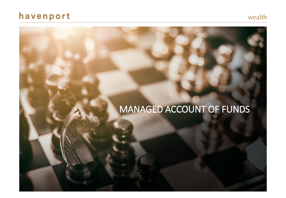# havenport



# MANAGED ACCOUNT OF FUNDS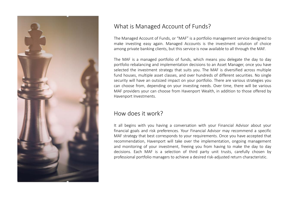

### What is Managed Account of Funds?

The Managed Account of Funds, or "MAF" is a portfolio management service designed to make investing easy again. Managed Accounts is the investment solution of choice among private banking clients, but this service is now available to all through the MAF.

The MAF is a managed portfolio of funds, which means you delegate the day to day portfolio rebalancing and implementation decisions to an Asset Manager, once you have selected the investment strategy that suits you. The MAF is diversified across multiple fund houses, multiple asset classes, and over hundreds of different securities. No single security will have an outsized impact on your portfolio. There are various strategies you can choose from, depending on your investing needs. Over time, there will be various MAF providers your can choose from Havenport Wealth, in addition to those offered by Havenport Investments.

### How does it work?

It all begins with you having a conversation with your Financial Advisor about your financial goals and risk preferences. Your Financial Advisor may recommend a specific MAF strategy that best corresponds to your requirements. Once you have accepted that recommendation, Havenport will take over the implementation, ongoing management and monitoring of your investment, freeing you from having to make the day to day decisions. Each MAF is a selection of third party unit trusts, carefully chosen by professional portfolio managers to achieve a desired risk-adjusted return characteristic.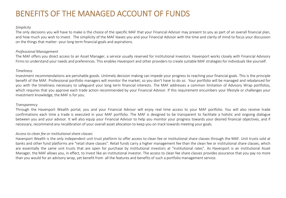# BENEFITS OF THE MANAGED ACCOUNT OF FUNDS

#### *Simplicity*

The only decisions you will have to make is the choice of the specific MAF that your Financial Advisor may present to you as part of an overall financial plan, and how much you wish to invest. The simplicity of the MAF leaves you and your Financial Advisor with the time and clarity of mind to focus your discussion on the things that matter- your long term financial goals and aspirations.

#### *Professional Management*

The MAF offers you direct access to an Asset Manager, a service usually reserved for institutional investors. Havenport works closely with Financial Advisory Firms to understand your needs and preferences. This enables Havenport and other providers to create suitable MAF strategies for individuals like yourself.

#### *Timeliness*

Investment recommendations are perishable goods. Untimely decision making can impede your progress to reaching your financial goals. This is the principle benefit of the MAF. Professional portfolio managers will monitor the market, so you don't have to do so. Your portfolio will be managed and rebalanced for you with the timeliness necessary to safeguard your long term financial interests. The MAF addresses a common limitation of Advisory Wrap portfolios, which requires that you approve each trade action recommended by your Financial Advisor. If this requirement encumbers your lifestyle or challenges your investment knowledge, the MAF is for you.

#### *Transparency*

Through the Havenport Wealth portal, you and your Financial Advisor will enjoy real time access to your MAF portfolio. You will also receive trade confirmations each time a trade is executed in your MAF portfolio. The MAF is designed to be transparent to facilitate a holistic and ongoing dialogue between you and your advisor. It will also equip your Financial Advisor to help you monitor your progress towards your desired financial objectives, and if necessary, recommend any recalibration of your overall asset allocation to keep you on track towards meeting your goals.

#### *Access to clean fee or institutional share classes*

Havenport Wealth is the only independent unit trust platform to offer access to clean fee or institutional share classes through the MAF. Unit trusts sold at banks and other fund platforms are "retail share classes". Retail funds carry a higher management fee than the clean fee or institutional share classes, which are essentially the same unit trusts that are open for purchase by institutional investors at "institutional rates". As Havenport is an institutional Asset Manager, the MAF allows you, in effect, to invest like an institutional investor. The access to clean fee share classes provides assurance that you pay no more than you would for an advisory wrap, yet benefit from all the features and benefits of such a portfolio management service.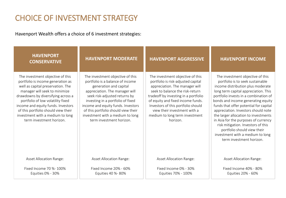# CHOICE OF INVESTMENT STRATEGY

Havenport Wealth offers a choice of 6 investment strategies:

| <b>HAVENPORT</b><br><b>CONSERVATIVE</b>                                                                                                                                                                                                                                                                                                                             | <b>HAVENPORT MODERATE</b>                                                                                                                                                                                                                                                                                                                           | <b>HAVENPORT AGGRESSIVE</b>                                                                                                                                                                                                                                                                                                                  | <b>HAVENPORT INCOME</b>                                                                                                                                                                                                                                                                                                                                                                                                                                                                                                                |
|---------------------------------------------------------------------------------------------------------------------------------------------------------------------------------------------------------------------------------------------------------------------------------------------------------------------------------------------------------------------|-----------------------------------------------------------------------------------------------------------------------------------------------------------------------------------------------------------------------------------------------------------------------------------------------------------------------------------------------------|----------------------------------------------------------------------------------------------------------------------------------------------------------------------------------------------------------------------------------------------------------------------------------------------------------------------------------------------|----------------------------------------------------------------------------------------------------------------------------------------------------------------------------------------------------------------------------------------------------------------------------------------------------------------------------------------------------------------------------------------------------------------------------------------------------------------------------------------------------------------------------------------|
| The investment objective of this<br>portfolio is income generation as<br>well as capital preservation. The<br>manager will seek to minimize<br>drawdowns by diversifying across a<br>portfolio of low volatility fixed<br>income and equity funds. Investors<br>of this portfolio should view their<br>investment with a medium to long<br>term investment horizon. | The investment objective of this<br>portfolio is a balance of income<br>generation and capital<br>appreciation. The manager will<br>seek risk-adjusted returns by<br>investing in a portfolio of fixed<br>income and equity funds. Investors<br>of this portfolio should view their<br>investment with a medium to long<br>term investment horizon. | The investment objective of this<br>portfolio is risk-adjusted capital<br>appreciation. The manager will<br>seek to balance the risk-return<br>tradeoff by investing in a portfolio<br>of equity and fixed income funds.<br>Investors of this portfolio should<br>view their investment with a<br>medium to long term investment<br>horizon. | The investment objective of this<br>portfolio is to seek sustainable<br>income distribution plus moderate<br>long term capital appreciation. This<br>portfolio invests in a combination of<br>bonds and income generating equity<br>funds that offer potential for capital<br>appreciation. Investors should note<br>the larger allocation to investments<br>in Asia for the purposes of currency<br>risk mitigation. Investors of this<br>portfolio should view their<br>investment with a medium to long<br>term investment horizon. |
| <b>Asset Allocation Range:</b>                                                                                                                                                                                                                                                                                                                                      | <b>Asset Allocation Range:</b>                                                                                                                                                                                                                                                                                                                      | <b>Asset Allocation Range:</b>                                                                                                                                                                                                                                                                                                               | <b>Asset Allocation Range:</b>                                                                                                                                                                                                                                                                                                                                                                                                                                                                                                         |
| Fixed Income 70 %- 100%<br>Equities 0% - 30%                                                                                                                                                                                                                                                                                                                        | Fixed Income 20% - 60%<br>Equities 40 %- 80%                                                                                                                                                                                                                                                                                                        | Fixed Income 0% - 30%<br>Equities 70% - 100%                                                                                                                                                                                                                                                                                                 | Fixed Income 40% - 80%<br>Equities 20% - 60%                                                                                                                                                                                                                                                                                                                                                                                                                                                                                           |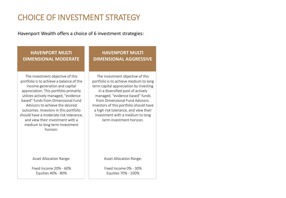# CHOICE OF INVESTMENT STRATEGY

Havenport Wealth offers a choice of 6 investment strategies:

### **HAVENPORT MULTI DIMENSIONAL MODERATE**

The investment objective of this portfolio is to achieve a balance of the income generation and capital appreciation. This portfolio primarily utilizes actively managed, "evidence based" funds from Dimensional Fund Advisors to achieve the desired outcomes. Investors in this portfolio should have a moderate risk tolerance, and view their investment with a medium to long term investment horizon.

Asset Allocation Range:

Fixed Income 20% - 60% Equities 40% - 80%

### **HAVENPORT MULTI DIMENSIONAL AGGRESSIVE**

The investment objective of this portfolio is to achieve medium to long term capital appreciation by investing in a diversified pool of actively managed, "evidence based" funds from Dimensional Fund Advisors. Investors of this portfolio should have a high risk tolerance, and view their investment with a medium to long term investment horizon.

Asset Allocation Range:

Fixed Income 0% - 30% Equities 70% - 100%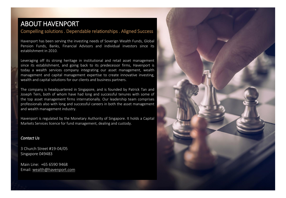## ABOUT HAVENPORT

### Compelling solutions . Dependable relationships . Aligned Success

Havenport has been serving the investing needs of Soverign Wealth Funds, Global Pension Funds, Banks, Financial Advisors and individual investors since its establishment in 2010.

Leveraging off its strong heritage in institutional and retail asset management since its establishment, and going back to its predecessor firms, Havenport is today a wealth services company integrating our asset management, wealth management and capital management expertise to create innovative investing, wealth and capital solutions for our clients and business partners.

The company is headquartered in Singapore, and is founded by Patrick Tan and Joseph Tern, both of whom have had long and successful tenures with some of the top asset management firms internationally. Our leadership team comprises professionals also with long and successful careers in both the asset management and wealth management industry.

Havenport is regulated by the Monetary Authority of Singapore. It holds a Capital Markets Services licence for fund management, dealing and custody.

#### *Contact Us*

3 Church Street #19-04/05 Singapore 049483

Main Line: +65 6590 9468 Email: wealth@havenport.com